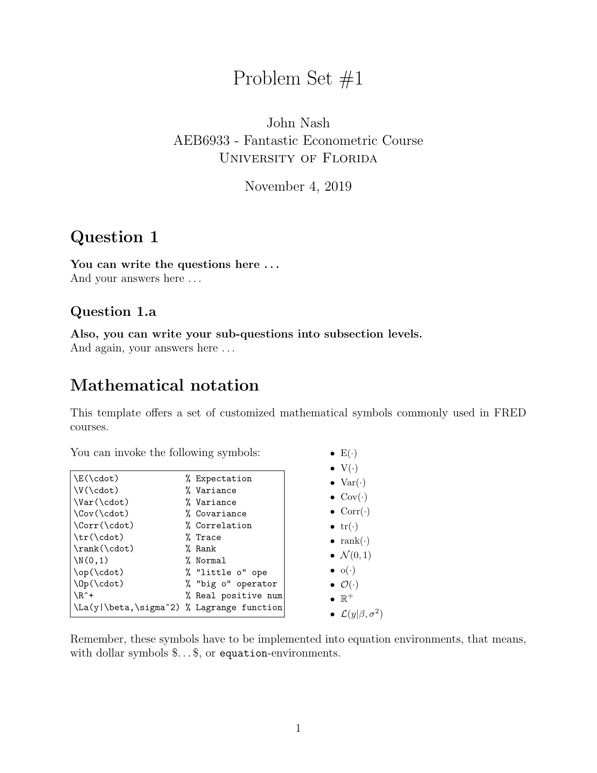# Problem Set #1

### John Nash AEB6933 - Fantastic Econometric Course University of Florida

November 4, 2019

### Question 1

You can write the questions here ...

And your answers here  $\dots$ 

#### Question 1.a

Also, you can write your sub-questions into subsection levels.

And again, your answers here . . .

### Mathematical notation

This template offers a set of customized mathematical symbols commonly used in FRED courses.

•  $E(\cdot)$ 

You can invoke the following symbols:

|                                           |                     | $\bullet \, \mathrm{V}(\cdot)$     |
|-------------------------------------------|---------------------|------------------------------------|
| $\E(\cdot)$                               | % Expectation       | $\bullet$ Var( $\cdot$ )           |
| $V(\cdot dot)$                            | % Variance          |                                    |
| $\Var(\cdot)$                             | % Variance          | $\bullet$ Cov $(\cdot)$            |
| $\Cov(\cdot)$                             | % Covariance        | $\bullet$ Corr $(\cdot)$           |
| $\Corr(\cdot)$                            | % Correlation       | $\bullet$ tr( $\cdot$ )            |
| \tr(\cdot)                                | % Trace             | $\bullet$ rank( $\cdot$ )          |
| $\rank(\cdot \cdot)$                      | % Rank              |                                    |
| $\N(0,1)$                                 | % Normal            | $\bullet \mathcal{N}(0,1)$         |
| \op(\cdot)                                | % "little o" ope    | $\bullet$ o( $\cdot$ )             |
| $\D( \cdot \cdot )$                       | % "big o" operator  | $\bullet$ $\mathcal{O}(\cdot)$     |
| $\Lambda$ <sup>+</sup>                    | % Real positive num | $\bullet \mathbb{R}^+$             |
| \La(y \beta,\sigma^2) % Lagrange function |                     | • $\mathcal{L}(y \beta, \sigma^2)$ |

Remember, these symbols have to be implemented into equation environments, that means, with dollar symbols  $\ldots$ , or equation-environments.